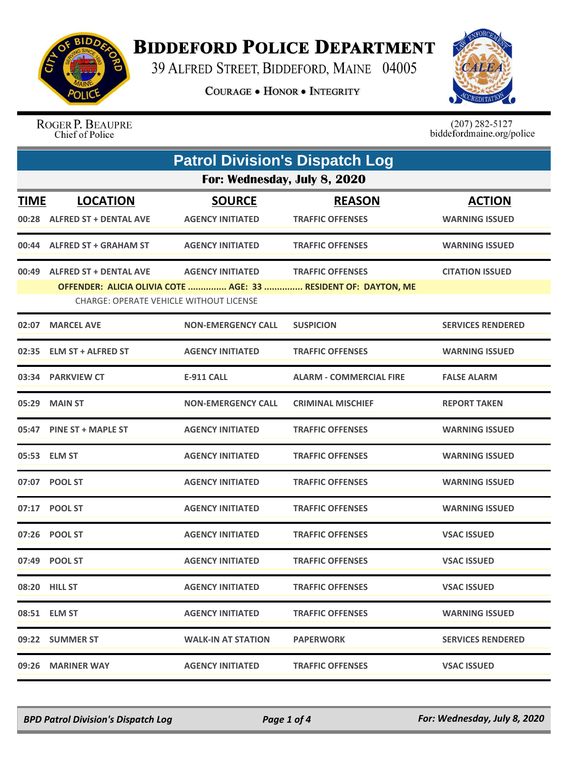

## **BIDDEFORD POLICE DEPARTMENT**

39 ALFRED STREET, BIDDEFORD, MAINE 04005

**COURAGE . HONOR . INTEGRITY** 



ROGER P. BEAUPRE Chief of Police

 $(207)$  282-5127<br>biddefordmaine.org/police

|             | <b>Patrol Division's Dispatch Log</b>                                           |                                          |                                                                                           |                                        |  |  |
|-------------|---------------------------------------------------------------------------------|------------------------------------------|-------------------------------------------------------------------------------------------|----------------------------------------|--|--|
|             | For: Wednesday, July 8, 2020                                                    |                                          |                                                                                           |                                        |  |  |
| <b>TIME</b> | <b>LOCATION</b><br>00:28 ALFRED ST + DENTAL AVE                                 | <b>SOURCE</b><br><b>AGENCY INITIATED</b> | <b>REASON</b><br><b>TRAFFIC OFFENSES</b>                                                  | <b>ACTION</b><br><b>WARNING ISSUED</b> |  |  |
|             | 00:44 ALFRED ST + GRAHAM ST                                                     | <b>AGENCY INITIATED</b>                  | <b>TRAFFIC OFFENSES</b>                                                                   | <b>WARNING ISSUED</b>                  |  |  |
| 00:49       | <b>ALFRED ST + DENTAL AVE</b><br><b>CHARGE: OPERATE VEHICLE WITHOUT LICENSE</b> | <b>AGENCY INITIATED</b>                  | <b>TRAFFIC OFFENSES</b><br>OFFENDER: ALICIA OLIVIA COTE  AGE: 33  RESIDENT OF: DAYTON, ME | <b>CITATION ISSUED</b>                 |  |  |
| 02:07       | <b>MARCEL AVE</b>                                                               | <b>NON-EMERGENCY CALL</b>                | <b>SUSPICION</b>                                                                          | <b>SERVICES RENDERED</b>               |  |  |
| 02:35       | <b>ELM ST + ALFRED ST</b>                                                       | <b>AGENCY INITIATED</b>                  | <b>TRAFFIC OFFENSES</b>                                                                   | <b>WARNING ISSUED</b>                  |  |  |
| 03:34       | <b>PARKVIEW CT</b>                                                              | <b>E-911 CALL</b>                        | <b>ALARM - COMMERCIAL FIRE</b>                                                            | <b>FALSE ALARM</b>                     |  |  |
| 05:29       | <b>MAIN ST</b>                                                                  | <b>NON-EMERGENCY CALL</b>                | <b>CRIMINAL MISCHIEF</b>                                                                  | <b>REPORT TAKEN</b>                    |  |  |
|             | 05:47 PINE ST + MAPLE ST                                                        | <b>AGENCY INITIATED</b>                  | <b>TRAFFIC OFFENSES</b>                                                                   | <b>WARNING ISSUED</b>                  |  |  |
|             | 05:53 ELM ST                                                                    | <b>AGENCY INITIATED</b>                  | <b>TRAFFIC OFFENSES</b>                                                                   | <b>WARNING ISSUED</b>                  |  |  |
| 07:07       | <b>POOL ST</b>                                                                  | <b>AGENCY INITIATED</b>                  | <b>TRAFFIC OFFENSES</b>                                                                   | <b>WARNING ISSUED</b>                  |  |  |
|             | 07:17 POOL ST                                                                   | <b>AGENCY INITIATED</b>                  | <b>TRAFFIC OFFENSES</b>                                                                   | <b>WARNING ISSUED</b>                  |  |  |
|             | 07:26 POOL ST                                                                   | <b>AGENCY INITIATED</b>                  | <b>TRAFFIC OFFENSES</b>                                                                   | <b>VSAC ISSUED</b>                     |  |  |
| 07:49       | <b>POOL ST</b>                                                                  | <b>AGENCY INITIATED</b>                  | <b>TRAFFIC OFFENSES</b>                                                                   | <b>VSAC ISSUED</b>                     |  |  |
|             | 08:20 HILL ST                                                                   | <b>AGENCY INITIATED</b>                  | <b>TRAFFIC OFFENSES</b>                                                                   | <b>VSAC ISSUED</b>                     |  |  |
|             | 08:51 ELM ST                                                                    | <b>AGENCY INITIATED</b>                  | <b>TRAFFIC OFFENSES</b>                                                                   | <b>WARNING ISSUED</b>                  |  |  |
|             | 09:22 SUMMER ST                                                                 | <b>WALK-IN AT STATION</b>                | <b>PAPERWORK</b>                                                                          | <b>SERVICES RENDERED</b>               |  |  |
|             | 09:26 MARINER WAY                                                               | <b>AGENCY INITIATED</b>                  | <b>TRAFFIC OFFENSES</b>                                                                   | <b>VSAC ISSUED</b>                     |  |  |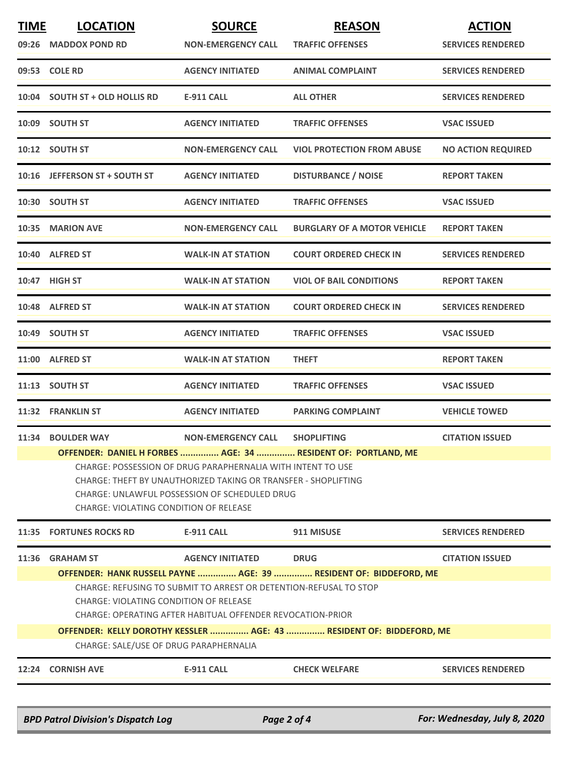| <b>TIME</b> | <b>LOCATION</b><br>09:26 MADDOX POND RD                                                                                                                                                                                                                                                          | <b>SOURCE</b><br><b>NON-EMERGENCY CALL</b> | <b>REASON</b><br><b>TRAFFIC OFFENSES</b> | <b>ACTION</b><br><b>SERVICES RENDERED</b> |  |
|-------------|--------------------------------------------------------------------------------------------------------------------------------------------------------------------------------------------------------------------------------------------------------------------------------------------------|--------------------------------------------|------------------------------------------|-------------------------------------------|--|
|             | 09:53 COLE RD                                                                                                                                                                                                                                                                                    | <b>AGENCY INITIATED</b>                    | <b>ANIMAL COMPLAINT</b>                  | <b>SERVICES RENDERED</b>                  |  |
| 10:04       | <b>SOUTH ST + OLD HOLLIS RD</b>                                                                                                                                                                                                                                                                  | E-911 CALL                                 | <b>ALL OTHER</b>                         | <b>SERVICES RENDERED</b>                  |  |
|             | 10:09 SOUTH ST                                                                                                                                                                                                                                                                                   | <b>AGENCY INITIATED</b>                    | <b>TRAFFIC OFFENSES</b>                  | <b>VSAC ISSUED</b>                        |  |
|             | 10:12 SOUTH ST                                                                                                                                                                                                                                                                                   | <b>NON-EMERGENCY CALL</b>                  | <b>VIOL PROTECTION FROM ABUSE</b>        | <b>NO ACTION REQUIRED</b>                 |  |
|             | 10:16 JEFFERSON ST + SOUTH ST                                                                                                                                                                                                                                                                    | <b>AGENCY INITIATED</b>                    | <b>DISTURBANCE / NOISE</b>               | <b>REPORT TAKEN</b>                       |  |
|             | 10:30 SOUTH ST                                                                                                                                                                                                                                                                                   | <b>AGENCY INITIATED</b>                    | <b>TRAFFIC OFFENSES</b>                  | <b>VSAC ISSUED</b>                        |  |
|             | 10:35 MARION AVE                                                                                                                                                                                                                                                                                 | <b>NON-EMERGENCY CALL</b>                  | <b>BURGLARY OF A MOTOR VEHICLE</b>       | <b>REPORT TAKEN</b>                       |  |
|             | 10:40 ALFRED ST                                                                                                                                                                                                                                                                                  | <b>WALK-IN AT STATION</b>                  | <b>COURT ORDERED CHECK IN</b>            | <b>SERVICES RENDERED</b>                  |  |
|             | 10:47 HIGH ST                                                                                                                                                                                                                                                                                    | <b>WALK-IN AT STATION</b>                  | <b>VIOL OF BAIL CONDITIONS</b>           | <b>REPORT TAKEN</b>                       |  |
|             | 10:48 ALFRED ST                                                                                                                                                                                                                                                                                  | <b>WALK-IN AT STATION</b>                  | <b>COURT ORDERED CHECK IN</b>            | <b>SERVICES RENDERED</b>                  |  |
|             | 10:49 SOUTH ST                                                                                                                                                                                                                                                                                   | <b>AGENCY INITIATED</b>                    | <b>TRAFFIC OFFENSES</b>                  | <b>VSAC ISSUED</b>                        |  |
|             | 11:00 ALFRED ST                                                                                                                                                                                                                                                                                  | <b>WALK-IN AT STATION</b>                  | <b>THEFT</b>                             | <b>REPORT TAKEN</b>                       |  |
|             | 11:13 SOUTH ST                                                                                                                                                                                                                                                                                   | <b>AGENCY INITIATED</b>                    | <b>TRAFFIC OFFENSES</b>                  | <b>VSAC ISSUED</b>                        |  |
|             | 11:32 FRANKLIN ST                                                                                                                                                                                                                                                                                | <b>AGENCY INITIATED</b>                    | <b>PARKING COMPLAINT</b>                 | <b>VEHICLE TOWED</b>                      |  |
|             | 11:34 BOULDER WAY                                                                                                                                                                                                                                                                                | <b>NON-EMERGENCY CALL</b>                  | <b>SHOPLIFTING</b>                       | <b>CITATION ISSUED</b>                    |  |
|             | OFFENDER: DANIEL H FORBES  AGE: 34  RESIDENT OF: PORTLAND, ME<br>CHARGE: POSSESSION OF DRUG PARAPHERNALIA WITH INTENT TO USE<br>CHARGE: THEFT BY UNAUTHORIZED TAKING OR TRANSFER - SHOPLIFTING<br><b>CHARGE: UNLAWFUL POSSESSION OF SCHEDULED DRUG</b><br>CHARGE: VIOLATING CONDITION OF RELEASE |                                            |                                          |                                           |  |
| 11:35       | <b>FORTUNES ROCKS RD</b>                                                                                                                                                                                                                                                                         | <b>E-911 CALL</b>                          | 911 MISUSE                               | <b>SERVICES RENDERED</b>                  |  |
| 11:36       | <b>GRAHAM ST</b>                                                                                                                                                                                                                                                                                 | <b>AGENCY INITIATED</b>                    | <b>DRUG</b>                              | <b>CITATION ISSUED</b>                    |  |
|             | OFFENDER: HANK RUSSELL PAYNE  AGE: 39  RESIDENT OF: BIDDEFORD, ME<br>CHARGE: REFUSING TO SUBMIT TO ARREST OR DETENTION-REFUSAL TO STOP<br><b>CHARGE: VIOLATING CONDITION OF RELEASE</b><br>CHARGE: OPERATING AFTER HABITUAL OFFENDER REVOCATION-PRIOR                                            |                                            |                                          |                                           |  |
|             | OFFENDER: KELLY DOROTHY KESSLER  AGE: 43  RESIDENT OF: BIDDEFORD, ME<br>CHARGE: SALE/USE OF DRUG PARAPHERNALIA                                                                                                                                                                                   |                                            |                                          |                                           |  |
|             | 12:24 CORNISH AVE                                                                                                                                                                                                                                                                                | <b>E-911 CALL</b>                          | <b>CHECK WELFARE</b>                     | <b>SERVICES RENDERED</b>                  |  |
|             | <b>BPD Patrol Division's Dispatch Log</b>                                                                                                                                                                                                                                                        |                                            | Page 2 of 4                              | For: Wednesday, July 8, 2020              |  |

\_\_\_\_\_\_\_\_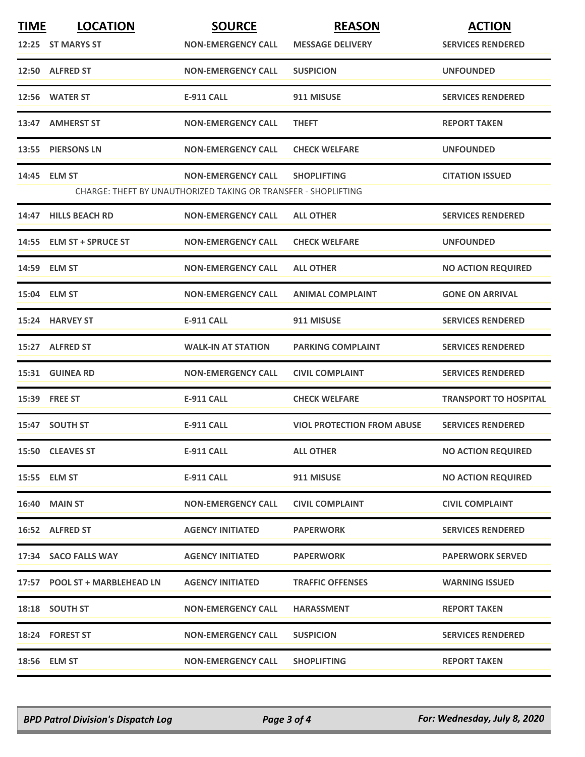| <b>TIME</b> | <b>LOCATION</b>               | <b>SOURCE</b>                                                  | <b>REASON</b>                     | <b>ACTION</b>                |
|-------------|-------------------------------|----------------------------------------------------------------|-----------------------------------|------------------------------|
|             | 12:25 ST MARYS ST             | <b>NON-EMERGENCY CALL</b>                                      | <b>MESSAGE DELIVERY</b>           | <b>SERVICES RENDERED</b>     |
|             | 12:50 ALFRED ST               | <b>NON-EMERGENCY CALL</b>                                      | <b>SUSPICION</b>                  | <b>UNFOUNDED</b>             |
|             | 12:56 WATER ST                | <b>E-911 CALL</b>                                              | 911 MISUSE                        | <b>SERVICES RENDERED</b>     |
|             | 13:47 AMHERST ST              | <b>NON-EMERGENCY CALL</b>                                      | <b>THEFT</b>                      | <b>REPORT TAKEN</b>          |
|             | 13:55 PIERSONS LN             | <b>NON-EMERGENCY CALL</b>                                      | <b>CHECK WELFARE</b>              | <b>UNFOUNDED</b>             |
|             | 14:45 ELM ST                  | <b>NON-EMERGENCY CALL</b>                                      | <b>SHOPLIFTING</b>                | <b>CITATION ISSUED</b>       |
|             |                               | CHARGE: THEFT BY UNAUTHORIZED TAKING OR TRANSFER - SHOPLIFTING |                                   |                              |
|             | 14:47 HILLS BEACH RD          | <b>NON-EMERGENCY CALL</b>                                      | <b>ALL OTHER</b>                  | <b>SERVICES RENDERED</b>     |
|             | 14:55 ELM ST + SPRUCE ST      | <b>NON-EMERGENCY CALL</b>                                      | <b>CHECK WELFARE</b>              | <b>UNFOUNDED</b>             |
|             | 14:59 ELM ST                  | <b>NON-EMERGENCY CALL</b>                                      | <b>ALL OTHER</b>                  | <b>NO ACTION REQUIRED</b>    |
|             | 15:04 ELM ST                  | <b>NON-EMERGENCY CALL</b>                                      | <b>ANIMAL COMPLAINT</b>           | <b>GONE ON ARRIVAL</b>       |
|             | 15:24 HARVEY ST               | <b>E-911 CALL</b>                                              | 911 MISUSE                        | <b>SERVICES RENDERED</b>     |
|             | 15:27 ALFRED ST               | <b>WALK-IN AT STATION</b>                                      | <b>PARKING COMPLAINT</b>          | <b>SERVICES RENDERED</b>     |
|             | 15:31 GUINEA RD               | <b>NON-EMERGENCY CALL</b>                                      | <b>CIVIL COMPLAINT</b>            | <b>SERVICES RENDERED</b>     |
|             | 15:39 FREE ST                 | <b>E-911 CALL</b>                                              | <b>CHECK WELFARE</b>              | <b>TRANSPORT TO HOSPITAL</b> |
|             | 15:47 SOUTH ST                | <b>E-911 CALL</b>                                              | <b>VIOL PROTECTION FROM ABUSE</b> | <b>SERVICES RENDERED</b>     |
|             | 15:50 CLEAVES ST              | <b>E-911 CALL</b>                                              | <b>ALL OTHER</b>                  | <b>NO ACTION REQUIRED</b>    |
|             | 15:55 ELM ST                  | E-911 CALL                                                     | 911 MISUSE                        | <b>NO ACTION REQUIRED</b>    |
|             | <b>16:40 MAIN ST</b>          | <b>NON-EMERGENCY CALL</b>                                      | <b>CIVIL COMPLAINT</b>            | <b>CIVIL COMPLAINT</b>       |
|             | 16:52 ALFRED ST               | <b>AGENCY INITIATED</b>                                        | <b>PAPERWORK</b>                  | <b>SERVICES RENDERED</b>     |
|             | 17:34 SACO FALLS WAY          | <b>AGENCY INITIATED</b>                                        | <b>PAPERWORK</b>                  | <b>PAPERWORK SERVED</b>      |
|             | 17:57 POOL ST + MARBLEHEAD LN | <b>AGENCY INITIATED</b>                                        | <b>TRAFFIC OFFENSES</b>           | <b>WARNING ISSUED</b>        |
|             | 18:18 SOUTH ST                | <b>NON-EMERGENCY CALL</b>                                      | <b>HARASSMENT</b>                 | <b>REPORT TAKEN</b>          |
|             | 18:24 FOREST ST               | <b>NON-EMERGENCY CALL</b>                                      | <b>SUSPICION</b>                  | <b>SERVICES RENDERED</b>     |
|             | 18:56 ELM ST                  | <b>NON-EMERGENCY CALL</b>                                      | <b>SHOPLIFTING</b>                | <b>REPORT TAKEN</b>          |